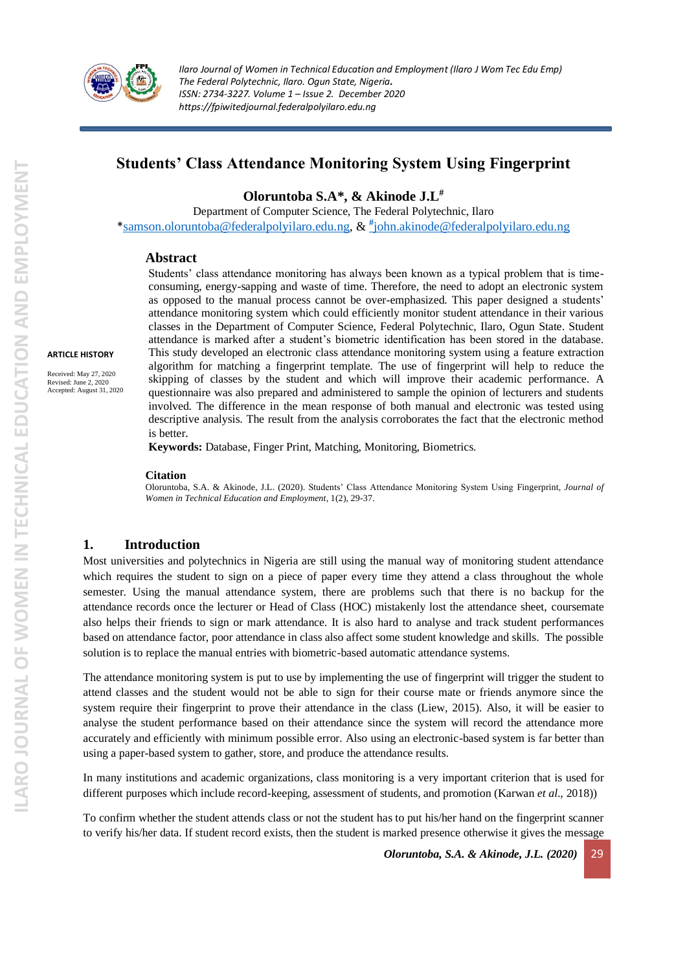

# **Students' Class Attendance Monitoring System Using Fingerprint**

**Oloruntoba S.A\*, & Akinode J.L#**

Department of Computer Science, The Federal Polytechnic, Ilaro \*[samson.oloruntoba@federalpolyilaro.edu.ng,](mailto:samson.oloruntoba@federalpolyilaro.edu.ng) & **[#](mailto:#john.akinode@federalpolyilaro.edu.ng)** [john.akinode@federalpolyilaro.edu.ng](mailto:#john.akinode@federalpolyilaro.edu.ng)

#### **Abstract**

Students' class attendance monitoring has always been known as a typical problem that is timeconsuming, energy-sapping and waste of time. Therefore, the need to adopt an electronic system as opposed to the manual process cannot be over-emphasized. This paper designed a students' attendance monitoring system which could efficiently monitor student attendance in their various classes in the Department of Computer Science, Federal Polytechnic, Ilaro, Ogun State. Student attendance is marked after a student's biometric identification has been stored in the database. This study developed an electronic class attendance monitoring system using a feature extraction algorithm for matching a fingerprint template. The use of fingerprint will help to reduce the skipping of classes by the student and which will improve their academic performance. A questionnaire was also prepared and administered to sample the opinion of lecturers and students involved. The difference in the mean response of both manual and electronic was tested using descriptive analysis. The result from the analysis corroborates the fact that the electronic method is better.

**Keywords:** Database, Finger Print, Matching, Monitoring, Biometrics.

#### **Citation**

Oloruntoba, S.A. & Akinode, J.L. (2020). Students' Class Attendance Monitoring System Using Fingerprint, *Journal of Women in Technical Education and Employment*, 1(2), 29-37.

#### **1. Introduction**

Most universities and polytechnics in Nigeria are still using the manual way of monitoring student attendance which requires the student to sign on a piece of paper every time they attend a class throughout the whole semester. Using the manual attendance system, there are problems such that there is no backup for the attendance records once the lecturer or Head of Class (HOC) mistakenly lost the attendance sheet, coursemate also helps their friends to sign or mark attendance. It is also hard to analyse and track student performances based on attendance factor, poor attendance in class also affect some student knowledge and skills. The possible solution is to replace the manual entries with biometric-based automatic attendance systems.

The attendance monitoring system is put to use by implementing the use of fingerprint will trigger the student to attend classes and the student would not be able to sign for their course mate or friends anymore since the system require their fingerprint to prove their attendance in the class (Liew, 2015). Also, it will be easier to analyse the student performance based on their attendance since the system will record the attendance more accurately and efficiently with minimum possible error. Also using an electronic-based system is far better than using a paper-based system to gather, store, and produce the attendance results.

In many institutions and academic organizations, class monitoring is a very important criterion that is used for different purposes which include record-keeping, assessment of students, and promotion (Karwan *et al*., 2018))

To confirm whether the student attends class or not the student has to put his/her hand on the fingerprint scanner to verify his/her data. If student record exists, then the student is marked presence otherwise it gives the message

*Oloruntoba, S.A. & Akinode, J.L. (2020)* 29

**ARTICLE HISTORY**

Received: May 27, 2020 Revised: June 2, 2020 Accepted: August 31, 2020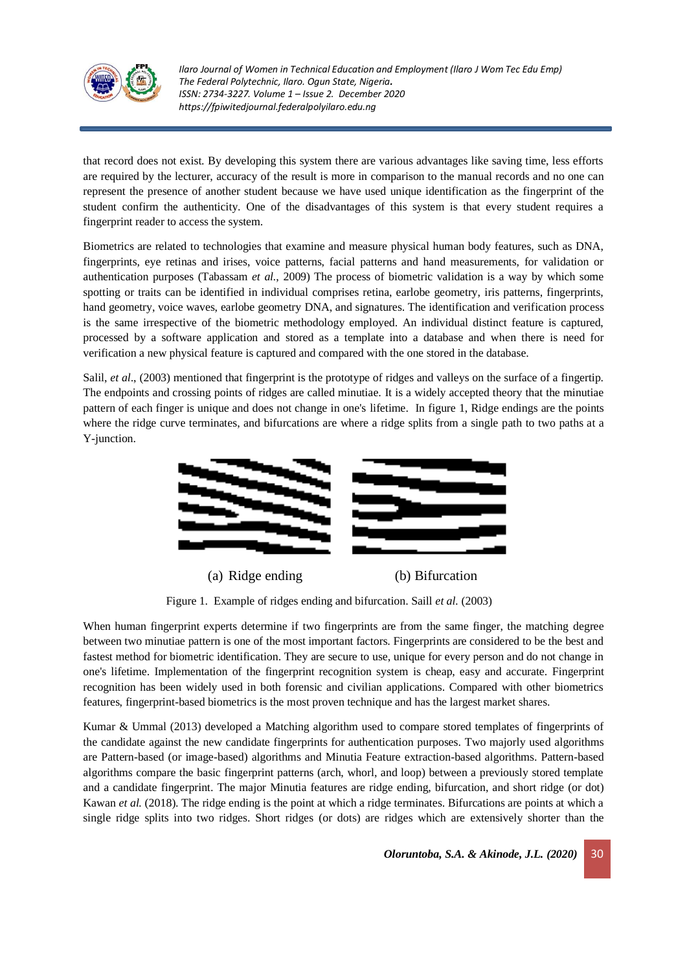

that record does not exist. By developing this system there are various advantages like saving time, less efforts are required by the lecturer, accuracy of the result is more in comparison to the manual records and no one can represent the presence of another student because we have used unique identification as the fingerprint of the student confirm the authenticity. One of the disadvantages of this system is that every student requires a fingerprint reader to access the system.

Biometrics are related to technologies that examine and measure physical human body features, such as DNA, fingerprints, eye retinas and irises, voice patterns, facial patterns and hand measurements, for validation or authentication purposes (Tabassam *et al.*, 2009) The process of biometric validation is a way by which some spotting or traits can be identified in individual comprises retina, earlobe geometry, iris patterns, fingerprints, hand geometry, voice waves, earlobe geometry DNA, and signatures. The identification and verification process is the same irrespective of the biometric methodology employed. An individual distinct feature is captured, processed by a software application and stored as a template into a database and when there is need for verification a new physical feature is captured and compared with the one stored in the database.

Salil, *et al*., (2003) mentioned that fingerprint is the prototype of ridges and valleys on the surface of a fingertip. The endpoints and crossing points of ridges are called minutiae. It is a widely accepted theory that the minutiae pattern of each finger is unique and does not change in one's lifetime. In figure 1, Ridge endings are the points where the ridge curve terminates, and bifurcations are where a ridge splits from a single path to two paths at a Y-junction.



(a) Ridge ending (b) Bifurcation

Figure 1. Example of ridges ending and bifurcation. Saill *et al.* (2003)

When human fingerprint experts determine if two fingerprints are from the same finger, the matching degree between two minutiae pattern is one of the most important factors. Fingerprints are considered to be the best and fastest method for biometric identification. They are secure to use, unique for every person and do not change in one's lifetime. Implementation of the fingerprint recognition system is cheap, easy and accurate. Fingerprint recognition has been widely used in both forensic and civilian applications. Compared with other biometrics features, fingerprint-based biometrics is the most proven technique and has the largest market shares.

Kumar & Ummal (2013) developed a Matching algorithm used to compare stored templates of fingerprints of the candidate against the new candidate fingerprints for authentication purposes. Two majorly used algorithms are Pattern-based (or image-based) algorithms and Minutia Feature extraction-based algorithms. Pattern-based algorithms compare the basic fingerprint patterns (arch, whorl, and loop) between a previously stored template and a candidate fingerprint. The major Minutia features are ridge ending, bifurcation, and short ridge (or dot) Kawan *et al.* (2018). The ridge ending is the point at which a ridge terminates. Bifurcations are points at which a single ridge splits into two ridges. Short ridges (or dots) are ridges which are extensively shorter than the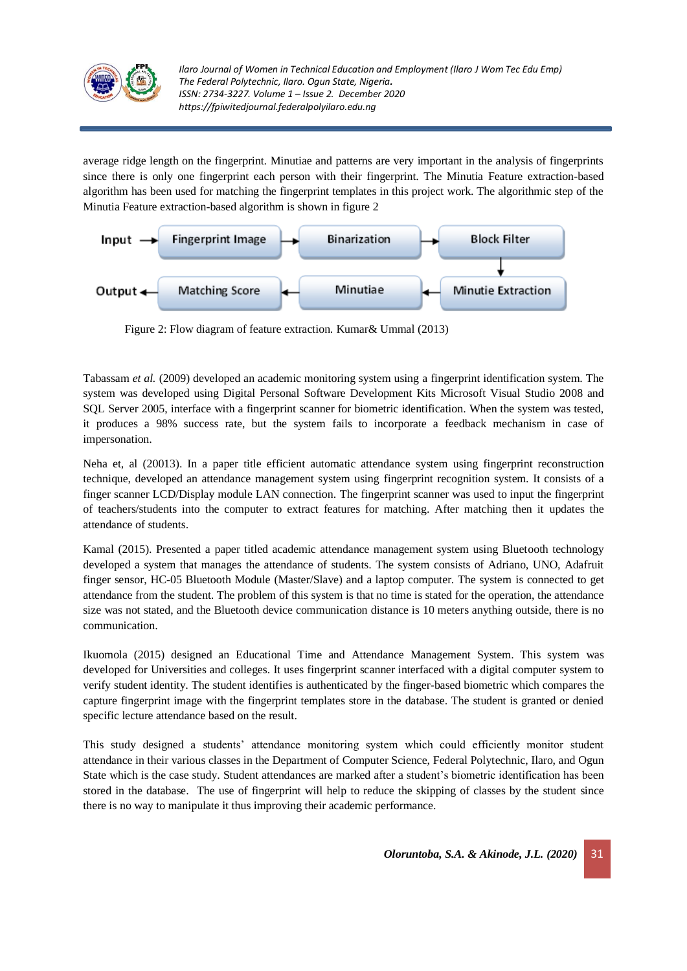

average ridge length on the fingerprint. Minutiae and patterns are very important in the analysis of fingerprints since there is only one fingerprint each person with their fingerprint. The Minutia Feature extraction-based algorithm has been used for matching the fingerprint templates in this project work. The algorithmic step of the Minutia Feature extraction-based algorithm is shown in figure 2



Figure 2: Flow diagram of feature extraction. Kumar& Ummal (2013)

Tabassam *et al.* (2009) developed an academic monitoring system using a fingerprint identification system. The system was developed using Digital Personal Software Development Kits Microsoft Visual Studio 2008 and SQL Server 2005, interface with a fingerprint scanner for biometric identification. When the system was tested, it produces a 98% success rate, but the system fails to incorporate a feedback mechanism in case of impersonation.

Neha et, al (20013). In a paper title efficient automatic attendance system using fingerprint reconstruction technique, developed an attendance management system using fingerprint recognition system. It consists of a finger scanner LCD/Display module LAN connection. The fingerprint scanner was used to input the fingerprint of teachers/students into the computer to extract features for matching. After matching then it updates the attendance of students.

Kamal (2015). Presented a paper titled academic attendance management system using Bluetooth technology developed a system that manages the attendance of students. The system consists of Adriano, UNO, Adafruit finger sensor, HC-05 Bluetooth Module (Master/Slave) and a laptop computer. The system is connected to get attendance from the student. The problem of this system is that no time is stated for the operation, the attendance size was not stated, and the Bluetooth device communication distance is 10 meters anything outside, there is no communication.

Ikuomola (2015) designed an Educational Time and Attendance Management System. This system was developed for Universities and colleges. It uses fingerprint scanner interfaced with a digital computer system to verify student identity. The student identifies is authenticated by the finger-based biometric which compares the capture fingerprint image with the fingerprint templates store in the database. The student is granted or denied specific lecture attendance based on the result.

This study designed a students' attendance monitoring system which could efficiently monitor student attendance in their various classes in the Department of Computer Science, Federal Polytechnic, Ilaro, and Ogun State which is the case study. Student attendances are marked after a student's biometric identification has been stored in the database. The use of fingerprint will help to reduce the skipping of classes by the student since there is no way to manipulate it thus improving their academic performance.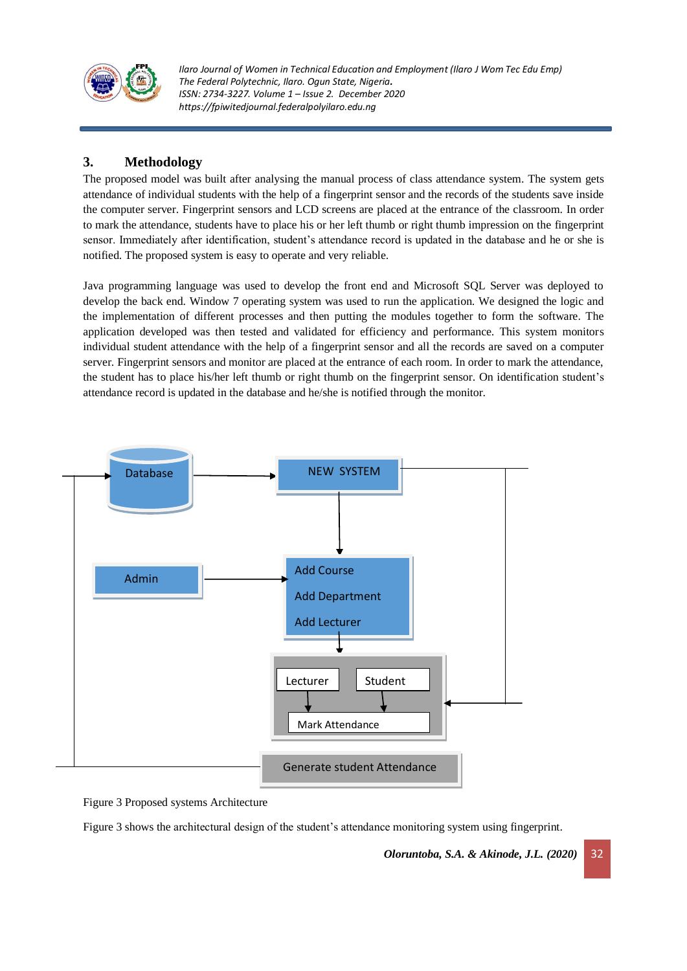

# **3. Methodology**

The proposed model was built after analysing the manual process of class attendance system. The system gets attendance of individual students with the help of a fingerprint sensor and the records of the students save inside the computer server. Fingerprint sensors and LCD screens are placed at the entrance of the classroom. In order to mark the attendance, students have to place his or her left thumb or right thumb impression on the fingerprint sensor. Immediately after identification, student's attendance record is updated in the database and he or she is notified. The proposed system is easy to operate and very reliable.

Java programming language was used to develop the front end and Microsoft SQL Server was deployed to develop the back end. Window 7 operating system was used to run the application. We designed the logic and the implementation of different processes and then putting the modules together to form the software. The application developed was then tested and validated for efficiency and performance. This system monitors individual student attendance with the help of a fingerprint sensor and all the records are saved on a computer server. Fingerprint sensors and monitor are placed at the entrance of each room. In order to mark the attendance, the student has to place his/her left thumb or right thumb on the fingerprint sensor. On identification student's attendance record is updated in the database and he/she is notified through the monitor.



Figure 3 Proposed systems Architecture

Figure 3 shows the architectural design of the student's attendance monitoring system using fingerprint.

*Oloruntoba, S.A. & Akinode, J.L. (2020)* 32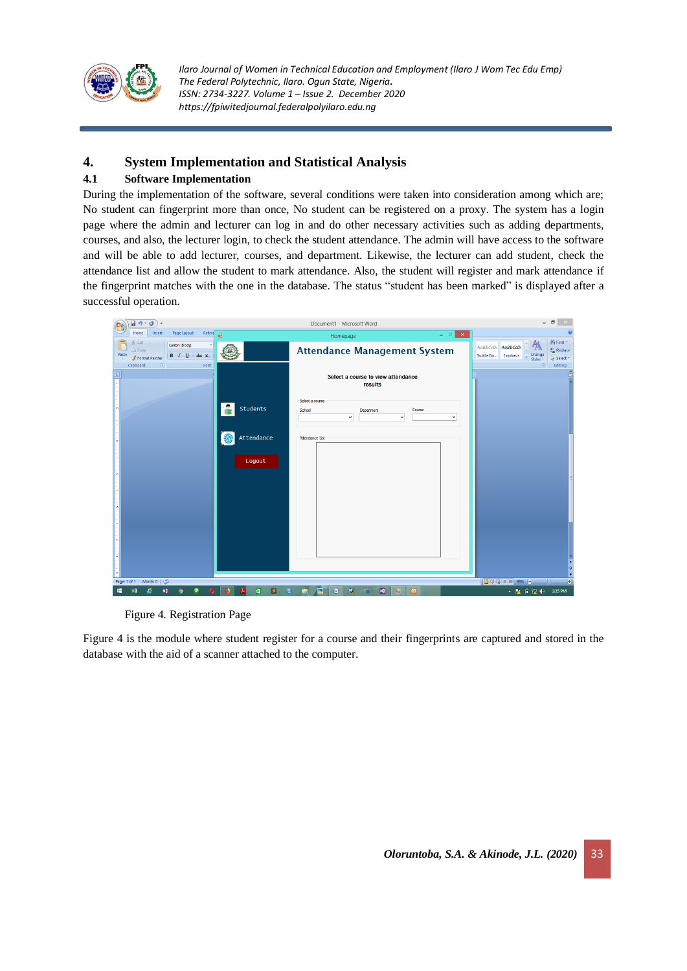

## **4. System Implementation and Statistical Analysis**

### **4.1 Software Implementation**

During the implementation of the software, several conditions were taken into consideration among which are; No student can fingerprint more than once, No student can be registered on a proxy. The system has a login page where the admin and lecturer can log in and do other necessary activities such as adding departments, courses, and also, the lecturer login, to check the student attendance. The admin will have access to the software and will be able to add lecturer, courses, and department. Likewise, the lecturer can add student, check the attendance list and allow the student to mark attendance. Also, the student will register and mark attendance if the fingerprint matches with the one in the database. The status "student has been marked" is displayed after a successful operation.

| $\overline{H}$ ŋ · ʊ ) +                                                                                                                         | Document1 - Microsoft Word                                                                  | $ \Box$<br>$\propto$                                                                                                                           |
|--------------------------------------------------------------------------------------------------------------------------------------------------|---------------------------------------------------------------------------------------------|------------------------------------------------------------------------------------------------------------------------------------------------|
| <b>Home</b><br>Insert<br>Page Layout<br>Refere<br>甅                                                                                              | $=$ $\Box$ $\times$<br>Homepage                                                             |                                                                                                                                                |
| % Cut<br>Calibri (Body)<br><b>Copy</b><br>$B$ $I$ $\mathbf{U}$ $\cdot$ abe $\mathbf{x}$ ,<br>Paste<br>Format Painter<br>Clipboard<br>-50<br>Font | <b>Attendance Management System</b>                                                         | 角 Find *<br>AaBbCcDt AaBbCcDt<br>ab <sub>ac</sub> Replace<br>Change<br>Styles $\tau$<br>Subtle Em<br>Emphasis<br>& Select *<br>- 59<br>Editing |
| E                                                                                                                                                | Select a course to view attendance<br>results                                               | ō                                                                                                                                              |
| Students                                                                                                                                         | Select a course<br>School<br>Course<br>Department<br>$\checkmark$<br>$\checkmark$<br>$\sim$ |                                                                                                                                                |
| Attendance<br>媭                                                                                                                                  | Attendance List                                                                             |                                                                                                                                                |
| Logout                                                                                                                                           |                                                                                             |                                                                                                                                                |
|                                                                                                                                                  |                                                                                             |                                                                                                                                                |
|                                                                                                                                                  |                                                                                             | Ł<br>۰                                                                                                                                         |
| Page: 1 of 1 Words: 0 3                                                                                                                          |                                                                                             | $\ddot{}$<br>$\overline{1}$<br>日印日日目95%日<br>Ω.                                                                                                 |
| ø<br>$\blacksquare$<br>в<br>÷<br>$N_{\rm B}^2$<br>x₿<br>o<br>ᇇ<br>e                                                                              | $\Omega$<br>$\blacksquare$<br>圓<br>£.<br>$\omega$<br>Σ<br>$\bullet$<br><b>R</b>             | ▲ P 日 同 (a) 2:35 PM                                                                                                                            |

Figure 4. Registration Page

Figure 4 is the module where student register for a course and their fingerprints are captured and stored in the database with the aid of a scanner attached to the computer.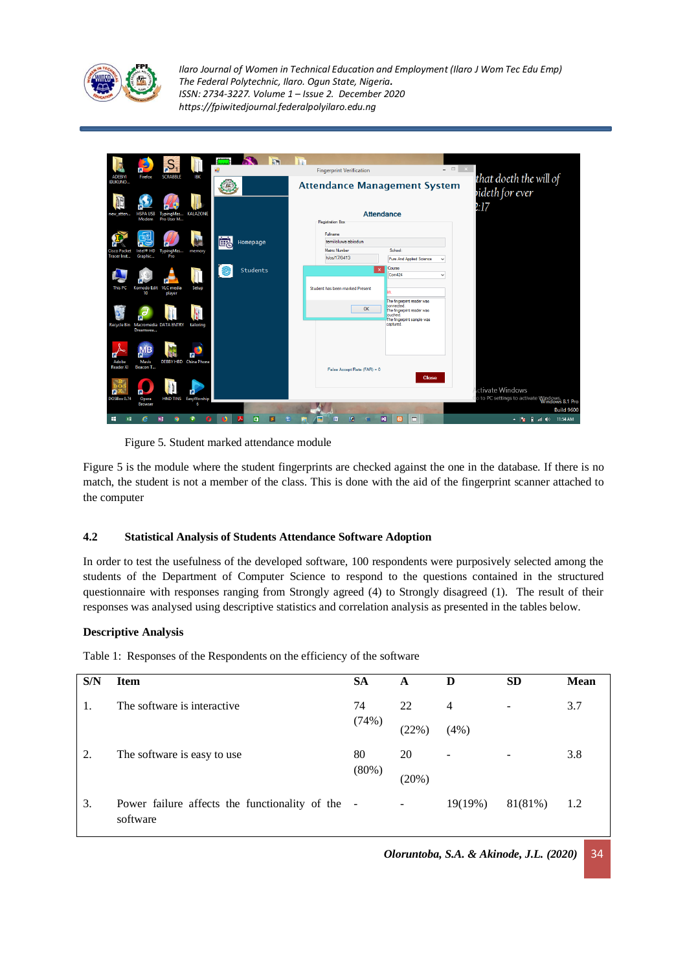

|                                  |                          |                                   |                              | <br>礇 |          |  | <b>Fingerprint Verification</b> |                             |                                          | $  \overline{ }$ $\overline{ }$ $\overline{ }$ $\overline{ }$ $\overline{ }$ $\overline{ }$ $\overline{ }$ $\overline{ }$ $\overline{ }$ $\overline{ }$ $\overline{ }$ $\overline{ }$ $\overline{ }$ $\overline{ }$ $\overline{ }$ $\overline{ }$ $\overline{ }$ $\overline{ }$ $\overline{ }$ $\overline{ }$ $\overline{ }$ $\overline{ }$ $\overline{ }$ $\overline{ }$ $\overline{ }$ $\overline{ }$ $\overline{$ |                                             |
|----------------------------------|--------------------------|-----------------------------------|------------------------------|-------|----------|--|---------------------------------|-----------------------------|------------------------------------------|----------------------------------------------------------------------------------------------------------------------------------------------------------------------------------------------------------------------------------------------------------------------------------------------------------------------------------------------------------------------------------------------------------------------|---------------------------------------------|
| <b>ADEBIYI</b><br><b>IBUKUNO</b> | Firefox                  | <b>SCRABBLE</b>                   | IBK                          |       |          |  |                                 |                             | <b>Attendance Management System</b>      |                                                                                                                                                                                                                                                                                                                                                                                                                      | that doeth the will of                      |
|                                  |                          |                                   |                              |       |          |  |                                 |                             |                                          |                                                                                                                                                                                                                                                                                                                                                                                                                      | videth for ever<br>l:17                     |
| new_atten                        | <b>HSPA USB</b><br>Modem | Pro User M                        | TypingMas KALAZONE           |       |          |  | Registration Box                |                             | <b>Attendance</b>                        |                                                                                                                                                                                                                                                                                                                                                                                                                      |                                             |
|                                  |                          |                                   |                              | 崗     | Homepage |  | Fulhame<br>temiloluwa abiodun   |                             |                                          |                                                                                                                                                                                                                                                                                                                                                                                                                      |                                             |
|                                  | Intel <sup>o</sup> HD    | TypingMas                         | memory                       |       |          |  | Matric Number                   |                             | School:                                  |                                                                                                                                                                                                                                                                                                                                                                                                                      |                                             |
| <b>Tracer Inst</b>               | Graphic                  | Pro                               |                              |       |          |  | h/cs/17/0413                    |                             | Pure And Applied Science                 | $\checkmark$                                                                                                                                                                                                                                                                                                                                                                                                         |                                             |
|                                  |                          |                                   |                              |       | Students |  |                                 |                             | Course                                   |                                                                                                                                                                                                                                                                                                                                                                                                                      |                                             |
|                                  |                          |                                   |                              |       |          |  |                                 |                             | Com424                                   | $\checkmark$                                                                                                                                                                                                                                                                                                                                                                                                         |                                             |
| <b>This PC</b>                   |                          | Komodo Edit VLC media             | Setup                        |       |          |  | Student has been marked Present |                             |                                          |                                                                                                                                                                                                                                                                                                                                                                                                                      |                                             |
|                                  | 10                       | player                            |                              |       |          |  |                                 |                             |                                          |                                                                                                                                                                                                                                                                                                                                                                                                                      |                                             |
|                                  |                          |                                   |                              |       |          |  |                                 |                             | The fingerprint reader was<br>connected. |                                                                                                                                                                                                                                                                                                                                                                                                                      |                                             |
|                                  |                          |                                   |                              |       |          |  |                                 | OK                          | The fingerprint reader was<br>ouched.    |                                                                                                                                                                                                                                                                                                                                                                                                                      |                                             |
|                                  |                          |                                   |                              |       |          |  |                                 |                             | The fingerprint sample was               |                                                                                                                                                                                                                                                                                                                                                                                                                      |                                             |
|                                  | Dreamwea                 | Recycle Bin Macromedia DATA ENTRY | tailoring                    |       |          |  |                                 |                             | captured.                                |                                                                                                                                                                                                                                                                                                                                                                                                                      |                                             |
|                                  |                          |                                   |                              |       |          |  |                                 |                             |                                          |                                                                                                                                                                                                                                                                                                                                                                                                                      |                                             |
|                                  | <b>MB</b>                |                                   |                              |       |          |  |                                 |                             |                                          |                                                                                                                                                                                                                                                                                                                                                                                                                      |                                             |
|                                  |                          |                                   |                              |       |          |  |                                 |                             |                                          |                                                                                                                                                                                                                                                                                                                                                                                                                      |                                             |
| Adobe<br><b>Reader XI</b>        | Mavis<br>Beacon T        |                                   | <b>DEBBY HBD</b> China Phone |       |          |  |                                 |                             |                                          |                                                                                                                                                                                                                                                                                                                                                                                                                      |                                             |
|                                  |                          |                                   |                              |       |          |  |                                 | False Accept Rate (FAR) = 0 |                                          |                                                                                                                                                                                                                                                                                                                                                                                                                      |                                             |
|                                  |                          |                                   |                              |       |          |  |                                 |                             | <b>Close</b>                             |                                                                                                                                                                                                                                                                                                                                                                                                                      |                                             |
|                                  |                          |                                   |                              |       |          |  |                                 |                             |                                          |                                                                                                                                                                                                                                                                                                                                                                                                                      | ctivate Windows                             |
| <b>DOSBox 0.74</b>               | Opera<br><b>Browser</b>  |                                   | HND TINS EasyWorship<br>6    |       |          |  |                                 |                             |                                          |                                                                                                                                                                                                                                                                                                                                                                                                                      | to PC settings to activate Windows. 8.1 Pro |
|                                  |                          |                                   |                              |       |          |  |                                 |                             |                                          |                                                                                                                                                                                                                                                                                                                                                                                                                      | <b>Build 9600</b>                           |
| ÷<br>x₿                          |                          | N <sub>1</sub>                    | O.                           |       | à        |  | ïπ                              | o                           | $\overline{\mathbf{M}}$<br>$\Box$<br>ıю  |                                                                                                                                                                                                                                                                                                                                                                                                                      | ▲ <mark>※ 日 all</mark> (4) 11:54 AM         |

Figure 5. Student marked attendance module

Figure 5 is the module where the student fingerprints are checked against the one in the database. If there is no match, the student is not a member of the class. This is done with the aid of the fingerprint scanner attached to the computer

#### **4.2 Statistical Analysis of Students Attendance Software Adoption**

In order to test the usefulness of the developed software, 100 respondents were purposively selected among the students of the Department of Computer Science to respond to the questions contained in the structured questionnaire with responses ranging from Strongly agreed (4) to Strongly disagreed (1). The result of their responses was analysed using descriptive statistics and correlation analysis as presented in the tables below.

#### **Descriptive Analysis**

Table 1: Responses of the Respondents on the efficiency of the software

| S/N | <b>Item</b>                                                  | <b>SA</b> | A     | D       | <b>SD</b> | <b>Mean</b> |
|-----|--------------------------------------------------------------|-----------|-------|---------|-----------|-------------|
| 1.  | The software is interactive.                                 | 74        | 22    | 4       |           | 3.7         |
|     |                                                              | (74%)     | (22%) | (4%)    |           |             |
| 2.  | The software is easy to use                                  | 80        | 20    | ۰       |           | 3.8         |
|     |                                                              | $(80\%)$  | (20%) |         |           |             |
| 3.  | Power failure affects the functionality of the -<br>software |           |       | 19(19%) | 81(81%)   | 1.2         |

*Oloruntoba, S.A. & Akinode, J.L. (2020)* 34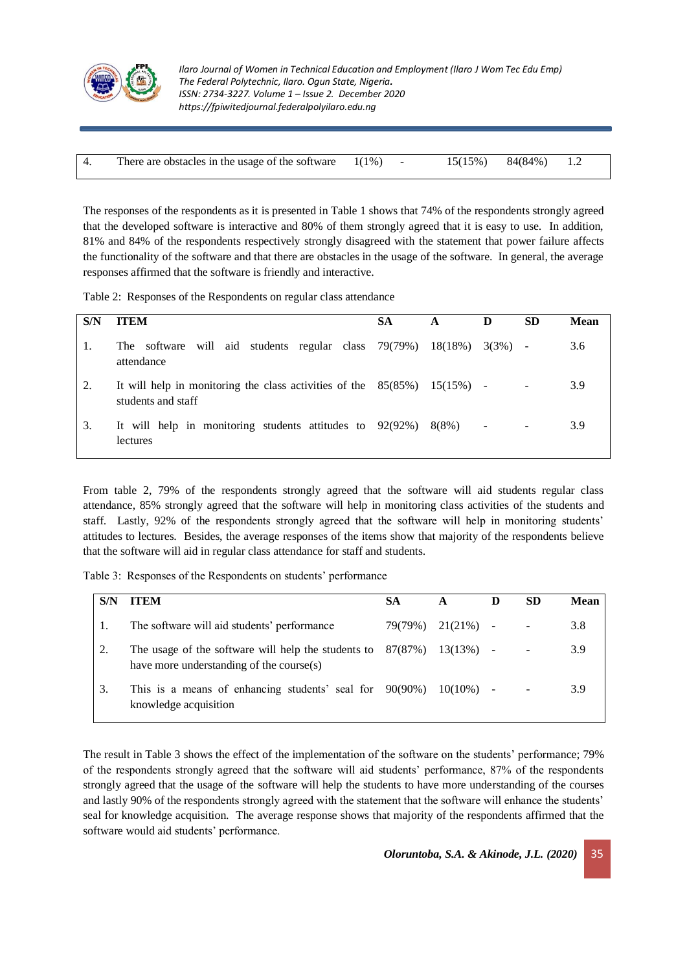

| There are obstacles in the usage of the software $1(1\%)$ |  |  | $15(15\%)$ $84(84\%)$ $1.2$ |  |  |
|-----------------------------------------------------------|--|--|-----------------------------|--|--|
|-----------------------------------------------------------|--|--|-----------------------------|--|--|

The responses of the respondents as it is presented in Table 1 shows that 74% of the respondents strongly agreed that the developed software is interactive and 80% of them strongly agreed that it is easy to use. In addition, 81% and 84% of the respondents respectively strongly disagreed with the statement that power failure affects the functionality of the software and that there are obstacles in the usage of the software. In general, the average responses affirmed that the software is friendly and interactive.

Table 2: Responses of the Respondents on regular class attendance

| S/N | <b>ITEM</b>                                                                                      | SА | A       | D                        | <b>SD</b> | Mean |
|-----|--------------------------------------------------------------------------------------------------|----|---------|--------------------------|-----------|------|
|     | will aid students regular class 79(79%)<br>The software<br>attendance                            |    | 18(18%) | 3(3%)                    |           | 3.6  |
| 2.  | It will help in monitoring the class activities of the $85(85%)$ 15(15%) -<br>students and staff |    |         |                          |           | 3.9  |
| 3.  | It will help in monitoring students attitudes to $92(92%)$<br>lectures                           |    | 8(8%)   | $\overline{\phantom{a}}$ |           | 3.9  |

From table 2, 79% of the respondents strongly agreed that the software will aid students regular class attendance, 85% strongly agreed that the software will help in monitoring class activities of the students and staff. Lastly, 92% of the respondents strongly agreed that the software will help in monitoring students' attitudes to lectures. Besides, the average responses of the items show that majority of the respondents believe that the software will aid in regular class attendance for staff and students.

Table 3: Responses of the Respondents on students' performance

| S/N | <b>ITEM</b>                                                                                               | <b>SA</b> |              | SD | Mean |
|-----|-----------------------------------------------------------------------------------------------------------|-----------|--------------|----|------|
|     | The software will aid students' performance                                                               | 79(79%)   | $21(21\%)$ - |    | 3.8  |
|     | The usage of the software will help the students to $87(87%)$<br>have more understanding of the course(s) |           | 13(13%)      |    | 3.9  |
| 3.  | This is a means of enhancing students' seal for $90(90%)$ 10(10%) -<br>knowledge acquisition              |           |              |    | 3.9  |

The result in Table 3 shows the effect of the implementation of the software on the students' performance; 79% of the respondents strongly agreed that the software will aid students' performance, 87% of the respondents strongly agreed that the usage of the software will help the students to have more understanding of the courses and lastly 90% of the respondents strongly agreed with the statement that the software will enhance the students' seal for knowledge acquisition. The average response shows that majority of the respondents affirmed that the software would aid students' performance.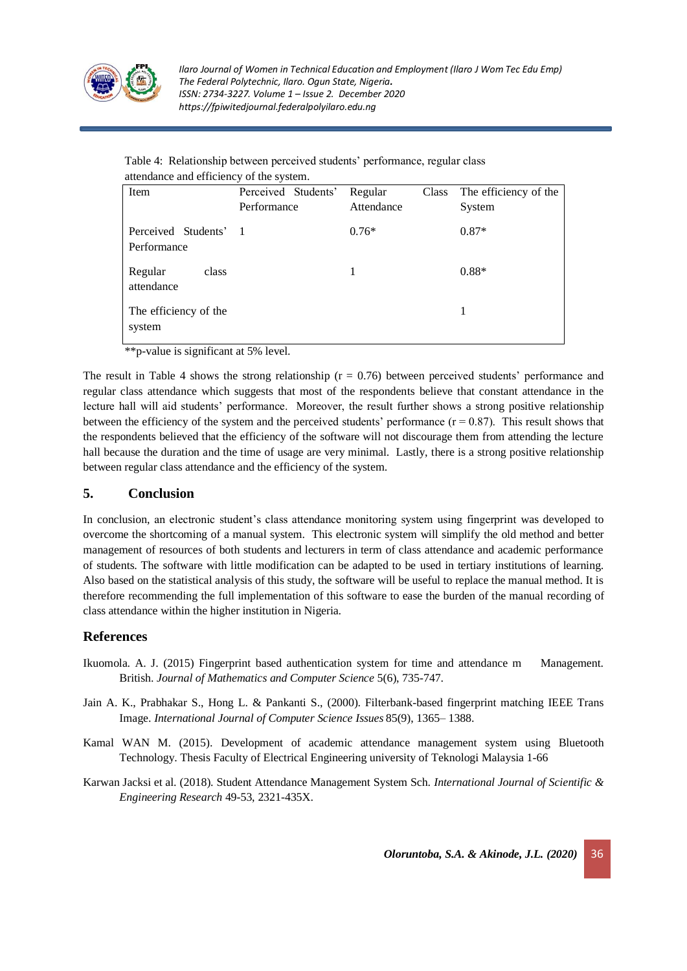

| Table 4: Relationship between perceived students' performance, regular class |  |
|------------------------------------------------------------------------------|--|
| attendance and efficiency of the system.                                     |  |

| Item                                 | Perceived Students'<br>Performance | Regular<br>Attendance | Class The efficiency of the<br>System |
|--------------------------------------|------------------------------------|-----------------------|---------------------------------------|
| Perceived Students' 1<br>Performance |                                    | $0.76*$               | $0.87*$                               |
| Regular<br>class<br>attendance       |                                    | 1                     | $0.88*$                               |
| The efficiency of the<br>system      |                                    |                       |                                       |

\*\*p-value is significant at 5% level.

The result in Table 4 shows the strong relationship ( $r = 0.76$ ) between perceived students' performance and regular class attendance which suggests that most of the respondents believe that constant attendance in the lecture hall will aid students' performance. Moreover, the result further shows a strong positive relationship between the efficiency of the system and the perceived students' performance  $(r = 0.87)$ . This result shows that the respondents believed that the efficiency of the software will not discourage them from attending the lecture hall because the duration and the time of usage are very minimal. Lastly, there is a strong positive relationship between regular class attendance and the efficiency of the system.

## **5. Conclusion**

In conclusion, an electronic student's class attendance monitoring system using fingerprint was developed to overcome the shortcoming of a manual system. This electronic system will simplify the old method and better management of resources of both students and lecturers in term of class attendance and academic performance of students. The software with little modification can be adapted to be used in tertiary institutions of learning. Also based on the statistical analysis of this study, the software will be useful to replace the manual method. It is therefore recommending the full implementation of this software to ease the burden of the manual recording of class attendance within the higher institution in Nigeria.

## **References**

- Ikuomola. A. J. (2015) Fingerprint based authentication system for time and attendance m Management. British. *Journal of Mathematics and Computer Science* 5(6), 735-747.
- Jain A. K., Prabhakar S., Hong L. & Pankanti S., (2000). Filterbank-based fingerprint matching IEEE Trans Image. *International Journal of Computer Science Issues* 85(9), 1365– 1388.
- Kamal WAN M. (2015). Development of academic attendance management system using Bluetooth Technology. Thesis Faculty of Electrical Engineering university of Teknologi Malaysia 1-66
- Karwan Jacksi et al. (2018). Student Attendance Management System Sch. *International Journal of Scientific & Engineering Research* 49-53, 2321-435X.